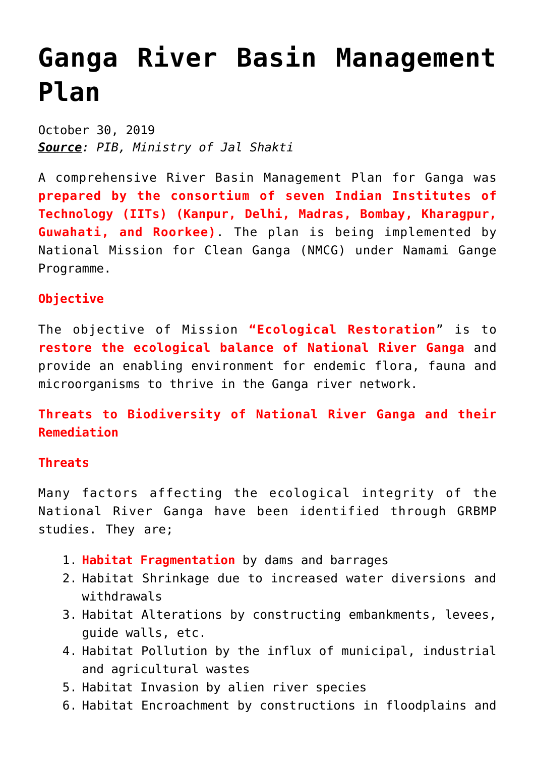## **[Ganga River Basin Management](https://journalsofindia.com/ganga-river-basin-management-plan/) [Plan](https://journalsofindia.com/ganga-river-basin-management-plan/)**

October 30, 2019 *Source: PIB, Ministry of Jal Shakti*

A comprehensive River Basin Management Plan for Ganga was **prepared by the consortium of seven Indian Institutes of Technology (IITs) (Kanpur, Delhi, Madras, Bombay, Kharagpur, Guwahati, and Roorkee)**. The plan is being implemented by National Mission for Clean Ganga (NMCG) under Namami Gange Programme.

## **Objective**

The objective of Mission **"Ecological Restoration**" is to **restore the ecological balance of National River Ganga** and provide an enabling environment for endemic flora, fauna and microorganisms to thrive in the Ganga river network.

**Threats to Biodiversity of National River Ganga and their Remediation**

## **Threats**

Many factors affecting the ecological integrity of the National River Ganga have been identified through GRBMP studies. They are;

- 1. **Habitat Fragmentation** by dams and barrages
- 2. Habitat Shrinkage due to increased water diversions and withdrawals
- 3. Habitat Alterations by constructing embankments, levees, guide walls, etc.
- 4. Habitat Pollution by the influx of municipal, industrial and agricultural wastes
- 5. Habitat Invasion by alien river species
- 6. Habitat Encroachment by constructions in floodplains and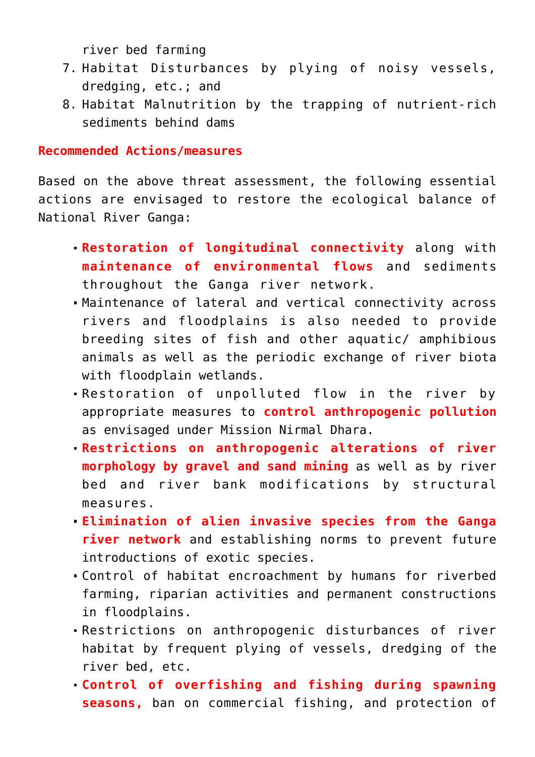river bed farming

- 7. Habitat Disturbances by plying of noisy vessels, dredging, etc.; and
- 8. Habitat Malnutrition by the trapping of nutrient-rich sediments behind dams

## **Recommended Actions/measures**

Based on the above threat assessment, the following essential actions are envisaged to restore the ecological balance of National River Ganga:

- **Restoration of longitudinal connectivity** along with **maintenance of environmental flows** and sediments throughout the Ganga river network.
- Maintenance of lateral and vertical connectivity across rivers and floodplains is also needed to provide breeding sites of fish and other aquatic/ amphibious animals as well as the periodic exchange of river biota with floodplain wetlands.
- Restoration of unpolluted flow in the river by appropriate measures to **control anthropogenic pollution** as envisaged under Mission Nirmal Dhara.
- **Restrictions on anthropogenic alterations of river morphology by gravel and sand mining** as well as by river bed and river bank modifications by structural measures.
- **Elimination of alien invasive species from the Ganga river network** and establishing norms to prevent future introductions of exotic species.
- Control of habitat encroachment by humans for riverbed farming, riparian activities and permanent constructions in floodplains.
- Restrictions on anthropogenic disturbances of river habitat by frequent plying of vessels, dredging of the river bed, etc.
- **Control of overfishing and fishing during spawning seasons,** ban on commercial fishing, and protection of